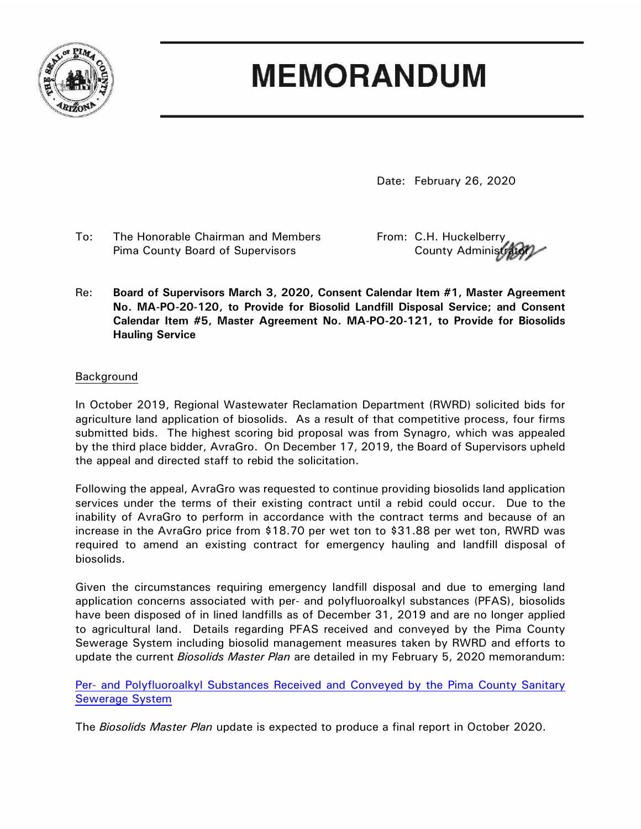

## **MEMORANDUM**

Date: February 26, 2020

To: The Honorable Chairman and Members From: C.H. Huckelberry Pima County Board of Supervisors The County Administration of the County Administrators

Re: **Board of Supervisors March 3, 2020, Consent Calendar Item #1, Master Agreement No. MA-PO-20-120, to Provide for Biosolid Landfill Disposal Service; and Consent Calendar Item #5, Master Agreement No. MA-PO-20-121, to Provide for Biosolids Hauling Service**

## Background

In October 2019, Regional Wastewater Reclamation Department (RWRD) solicited bids for agriculture land application of biosolids. As a result of that competitive process, four firms submitted bids. The highest scoring bid proposal was from Synagro, which was appealed by the third place bidder, AvraGro. On December 17, 2019, the Board of Supervisors upheld the appeal and directed staff to rebid the solicitation.

Following the appeal, AvraGro was requested to continue providing biosolids land application services under the terms of their existing contract until a rebid could occur. Due to the inability of AvraGro to perform in accordance with the contract terms and because of an increase in the AvraGro price from \$18.70 per wet ton to \$31.88 per wet ton, RWRD was required to amend an existing contract for emergency hauling and landfill disposal of biosolids.

Given the circumstances requiring emergency landfill disposal and due to emerging land application concerns associated with per- and polyfluoroalkyl substances (PFAS), biosolids have been disposed of in lined landfills as of December 31, 2019 and are no longer applied to agricultural land. Details regarding PFAS received and conveyed by the Pima County Sewerage System including biosolid management measures taken by RWRD and efforts to update the current *Biosolids Master Plan* are detailed in my February 5, 2020 memorandum:

Per- [and Polyfluoroalkyl Substances Received and Conveyed by the Pima County Sanitary](https://webcms.pima.gov/UserFiles/Servers/Server_6/File/Government/Administration/CHHmemosFor%20Web/2020/February/PFAS%20Substances%20Received%20and%20Conveyed%20by%20the%20Pima%20County%20Sanitary%20Sewerage%20System.pdf)  [Sewerage System](https://webcms.pima.gov/UserFiles/Servers/Server_6/File/Government/Administration/CHHmemosFor%20Web/2020/February/PFAS%20Substances%20Received%20and%20Conveyed%20by%20the%20Pima%20County%20Sanitary%20Sewerage%20System.pdf)

The *Biosolids Master Plan* update is expected to produce a final report in October 2020.